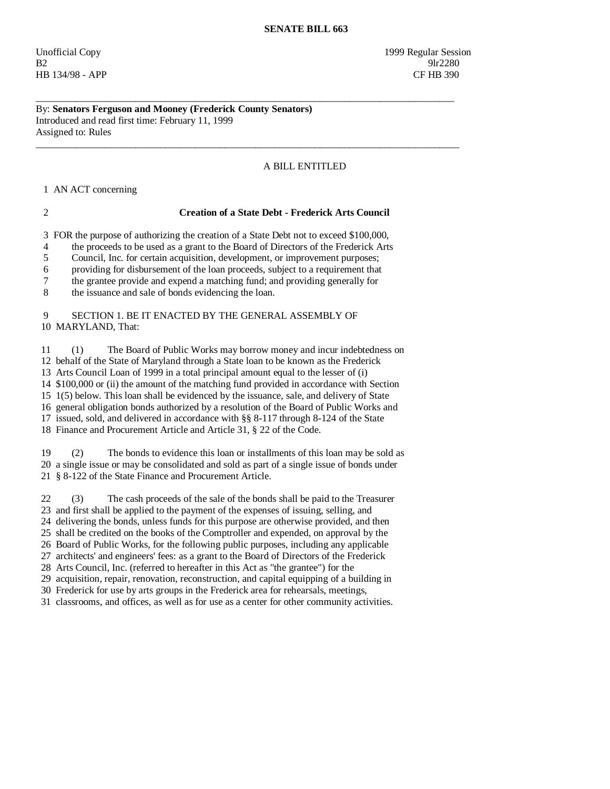Unofficial Copy 1999 Regular Session  $B2$  9lr2280 HB 134/98 - APP CF HB 390

# By: **Senators Ferguson and Mooney (Frederick County Senators)**  Introduced and read first time: February 11, 1999 Assigned to: Rules

# A BILL ENTITLED

1 AN ACT concerning

## 2 **Creation of a State Debt - Frederick Arts Council**

3 FOR the purpose of authorizing the creation of a State Debt not to exceed \$100,000,

\_\_\_\_\_\_\_\_\_\_\_\_\_\_\_\_\_\_\_\_\_\_\_\_\_\_\_\_\_\_\_\_\_\_\_\_\_\_\_\_\_\_\_\_\_\_\_\_\_\_\_\_\_\_\_\_\_\_\_\_\_\_\_\_\_\_\_\_\_\_\_\_\_\_\_\_\_\_\_\_\_\_\_\_

 $\overline{\phantom{a}}$  ,  $\overline{\phantom{a}}$  ,  $\overline{\phantom{a}}$  ,  $\overline{\phantom{a}}$  ,  $\overline{\phantom{a}}$  ,  $\overline{\phantom{a}}$  ,  $\overline{\phantom{a}}$  ,  $\overline{\phantom{a}}$  ,  $\overline{\phantom{a}}$  ,  $\overline{\phantom{a}}$  ,  $\overline{\phantom{a}}$  ,  $\overline{\phantom{a}}$  ,  $\overline{\phantom{a}}$  ,  $\overline{\phantom{a}}$  ,  $\overline{\phantom{a}}$  ,  $\overline{\phantom{a}}$ 

4 the proceeds to be used as a grant to the Board of Directors of the Frederick Arts

5 Council, Inc. for certain acquisition, development, or improvement purposes;

6 providing for disbursement of the loan proceeds, subject to a requirement that

7 the grantee provide and expend a matching fund; and providing generally for

8 the issuance and sale of bonds evidencing the loan.

### 9 SECTION 1. BE IT ENACTED BY THE GENERAL ASSEMBLY OF 10 MARYLAND, That:

 11 (1) The Board of Public Works may borrow money and incur indebtedness on 12 behalf of the State of Maryland through a State loan to be known as the Frederick 13 Arts Council Loan of 1999 in a total principal amount equal to the lesser of (i) 14 \$100,000 or (ii) the amount of the matching fund provided in accordance with Section 15 1(5) below. This loan shall be evidenced by the issuance, sale, and delivery of State 16 general obligation bonds authorized by a resolution of the Board of Public Works and 17 issued, sold, and delivered in accordance with §§ 8-117 through 8-124 of the State

18 Finance and Procurement Article and Article 31, § 22 of the Code.

 19 (2) The bonds to evidence this loan or installments of this loan may be sold as 20 a single issue or may be consolidated and sold as part of a single issue of bonds under 21 § 8-122 of the State Finance and Procurement Article.

 22 (3) The cash proceeds of the sale of the bonds shall be paid to the Treasurer 23 and first shall be applied to the payment of the expenses of issuing, selling, and

24 delivering the bonds, unless funds for this purpose are otherwise provided, and then

25 shall be credited on the books of the Comptroller and expended, on approval by the

26 Board of Public Works, for the following public purposes, including any applicable

27 architects' and engineers' fees: as a grant to the Board of Directors of the Frederick

28 Arts Council, Inc. (referred to hereafter in this Act as "the grantee") for the

29 acquisition, repair, renovation, reconstruction, and capital equipping of a building in

30 Frederick for use by arts groups in the Frederick area for rehearsals, meetings,

31 classrooms, and offices, as well as for use as a center for other community activities.